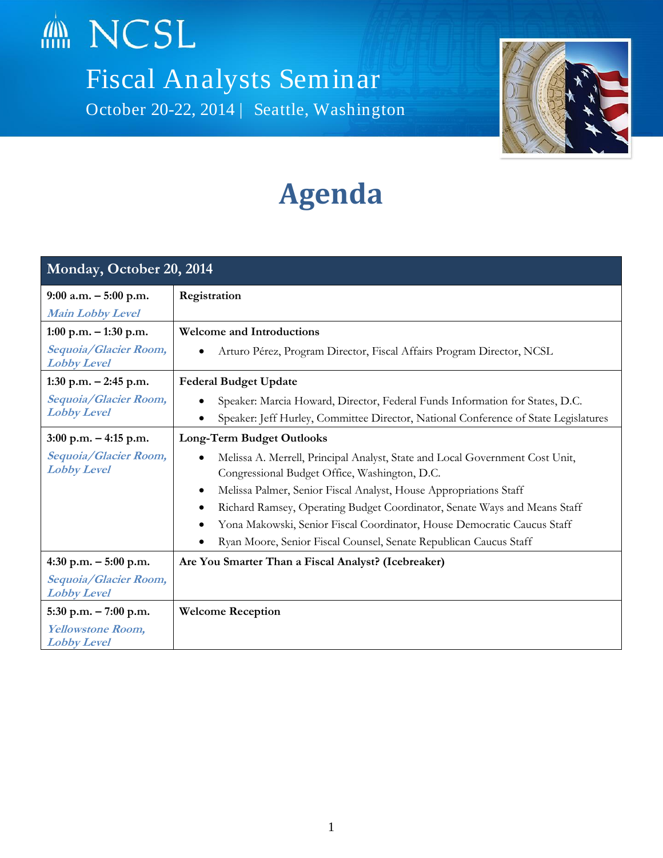

Fiscal Analysts Seminar October 20-22, 2014 | Seattle, Washington



## **Agenda**

| Monday, October 20, 2014                            |                                                                                                                                                                                                                                                                                                                                                                                                                                                           |  |
|-----------------------------------------------------|-----------------------------------------------------------------------------------------------------------------------------------------------------------------------------------------------------------------------------------------------------------------------------------------------------------------------------------------------------------------------------------------------------------------------------------------------------------|--|
| $9:00$ a.m. $-5:00$ p.m.<br><b>Main Lobby Level</b> | Registration                                                                                                                                                                                                                                                                                                                                                                                                                                              |  |
| $1:00$ p.m. $-1:30$ p.m.                            | <b>Welcome and Introductions</b>                                                                                                                                                                                                                                                                                                                                                                                                                          |  |
| Sequoia/Glacier Room,<br><b>Lobby Level</b>         | Arturo Pérez, Program Director, Fiscal Affairs Program Director, NCSL                                                                                                                                                                                                                                                                                                                                                                                     |  |
| 1:30 p.m. $-2:45$ p.m.                              | <b>Federal Budget Update</b>                                                                                                                                                                                                                                                                                                                                                                                                                              |  |
| Sequoia/Glacier Room,<br><b>Lobby Level</b>         | Speaker: Marcia Howard, Director, Federal Funds Information for States, D.C.<br>Speaker: Jeff Hurley, Committee Director, National Conference of State Legislatures                                                                                                                                                                                                                                                                                       |  |
| $3:00$ p.m. $-4:15$ p.m.                            | <b>Long-Term Budget Outlooks</b>                                                                                                                                                                                                                                                                                                                                                                                                                          |  |
| Sequoia/Glacier Room,<br><b>Lobby Level</b>         | Melissa A. Merrell, Principal Analyst, State and Local Government Cost Unit,<br>$\bullet$<br>Congressional Budget Office, Washington, D.C.<br>Melissa Palmer, Senior Fiscal Analyst, House Appropriations Staff<br>$\bullet$<br>Richard Ramsey, Operating Budget Coordinator, Senate Ways and Means Staff<br>Yona Makowski, Senior Fiscal Coordinator, House Democratic Caucus Staff<br>Ryan Moore, Senior Fiscal Counsel, Senate Republican Caucus Staff |  |
| 4:30 p.m. $-5:00$ p.m.                              | Are You Smarter Than a Fiscal Analyst? (Icebreaker)                                                                                                                                                                                                                                                                                                                                                                                                       |  |
| Sequoia/Glacier Room,<br><b>Lobby Level</b>         |                                                                                                                                                                                                                                                                                                                                                                                                                                                           |  |
| $5:30$ p.m. $-7:00$ p.m.                            | <b>Welcome Reception</b>                                                                                                                                                                                                                                                                                                                                                                                                                                  |  |
| <b>Yellowstone Room,</b><br><b>Lobby Level</b>      |                                                                                                                                                                                                                                                                                                                                                                                                                                                           |  |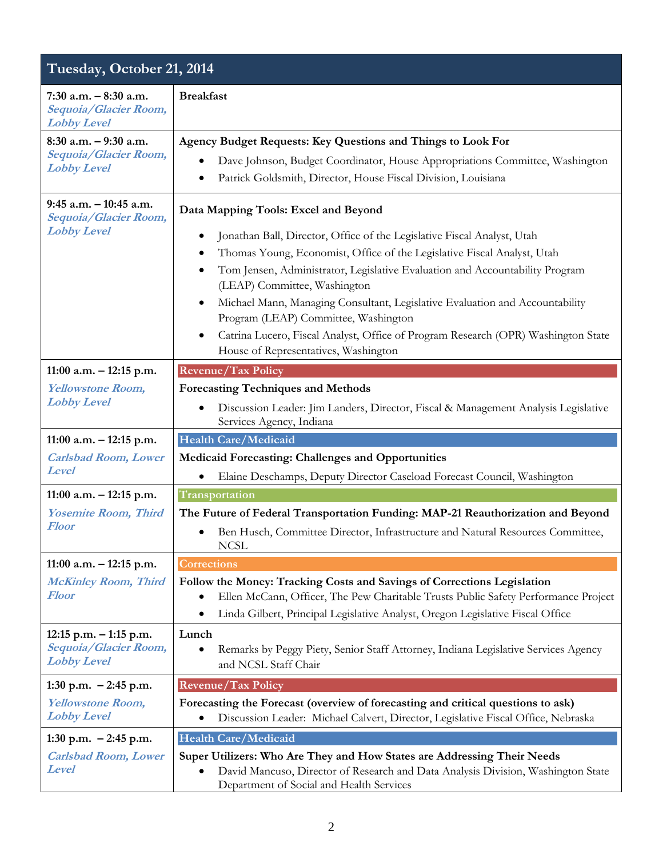## **Tuesday, October 21, 2014**

| 7:30 a.m. $-8:30$ a.m.<br>Sequoia/Glacier Room,<br><b>Lobby Level</b>    | <b>Breakfast</b>                                                                                                                                                                                                                                                                                           |
|--------------------------------------------------------------------------|------------------------------------------------------------------------------------------------------------------------------------------------------------------------------------------------------------------------------------------------------------------------------------------------------------|
| $8:30$ a.m. $-9:30$ a.m.<br>Sequoia/Glacier Room,<br><b>Lobby Level</b>  | Agency Budget Requests: Key Questions and Things to Look For                                                                                                                                                                                                                                               |
|                                                                          | Dave Johnson, Budget Coordinator, House Appropriations Committee, Washington                                                                                                                                                                                                                               |
|                                                                          | Patrick Goldsmith, Director, House Fiscal Division, Louisiana<br>$\bullet$                                                                                                                                                                                                                                 |
| $9:45$ a.m. $-10:45$ a.m.<br>Sequoia/Glacier Room,<br><b>Lobby Level</b> | Data Mapping Tools: Excel and Beyond<br>Jonathan Ball, Director, Office of the Legislative Fiscal Analyst, Utah<br>Thomas Young, Economist, Office of the Legislative Fiscal Analyst, Utah<br>Tom Jensen, Administrator, Legislative Evaluation and Accountability Program<br>(LEAP) Committee, Washington |
|                                                                          | Michael Mann, Managing Consultant, Legislative Evaluation and Accountability                                                                                                                                                                                                                               |
|                                                                          | Program (LEAP) Committee, Washington                                                                                                                                                                                                                                                                       |
|                                                                          | Catrina Lucero, Fiscal Analyst, Office of Program Research (OPR) Washington State<br>$\bullet$<br>House of Representatives, Washington                                                                                                                                                                     |
| 11:00 a.m. $-$ 12:15 p.m.                                                | <b>Revenue/Tax Policy</b>                                                                                                                                                                                                                                                                                  |
| <b>Yellowstone Room,</b>                                                 | <b>Forecasting Techniques and Methods</b>                                                                                                                                                                                                                                                                  |
| <b>Lobby Level</b>                                                       | Discussion Leader: Jim Landers, Director, Fiscal & Management Analysis Legislative<br>Services Agency, Indiana                                                                                                                                                                                             |
| 11:00 a.m. $-$ 12:15 p.m.                                                | Health Care/Medicaid                                                                                                                                                                                                                                                                                       |
| <b>Carlsbad Room, Lower</b><br><b>Level</b>                              | Medicaid Forecasting: Challenges and Opportunities                                                                                                                                                                                                                                                         |
|                                                                          | Elaine Deschamps, Deputy Director Caseload Forecast Council, Washington                                                                                                                                                                                                                                    |
| 11:00 a.m. $-$ 12:15 p.m.                                                | Transportation                                                                                                                                                                                                                                                                                             |
| <b>Yosemite Room, Third</b>                                              | The Future of Federal Transportation Funding: MAP-21 Reauthorization and Beyond                                                                                                                                                                                                                            |
| <b>Floor</b>                                                             | Ben Husch, Committee Director, Infrastructure and Natural Resources Committee,<br>$\bullet$<br><b>NCSL</b>                                                                                                                                                                                                 |
| 11:00 a.m. $-$ 12:15 p.m.                                                | Corrections                                                                                                                                                                                                                                                                                                |
| <b>McKinley Room, Third</b><br>Floor                                     | Follow the Money: Tracking Costs and Savings of Corrections Legislation<br>Ellen McCann, Officer, The Pew Charitable Trusts Public Safety Performance Project<br>$\bullet$<br>Linda Gilbert, Principal Legislative Analyst, Oregon Legislative Fiscal Office                                               |
| $12:15$ p.m. $-1:15$ p.m.                                                | Lunch                                                                                                                                                                                                                                                                                                      |
| Sequoia/Glacier Room,<br><b>Lobby Level</b>                              | Remarks by Peggy Piety, Senior Staff Attorney, Indiana Legislative Services Agency<br>and NCSL Staff Chair                                                                                                                                                                                                 |
| 1:30 p.m. $-2:45$ p.m.                                                   | <b>Revenue/Tax Policy</b>                                                                                                                                                                                                                                                                                  |
| <b>Yellowstone Room,</b><br><b>Lobby Level</b>                           | Forecasting the Forecast (overview of forecasting and critical questions to ask)<br>Discussion Leader: Michael Calvert, Director, Legislative Fiscal Office, Nebraska                                                                                                                                      |
| 1:30 p.m. $-2:45$ p.m.                                                   | Health Care/Medicaid                                                                                                                                                                                                                                                                                       |
| <b>Carlsbad Room, Lower</b><br><b>Level</b>                              | Super Utilizers: Who Are They and How States are Addressing Their Needs<br>David Mancuso, Director of Research and Data Analysis Division, Washington State<br>Department of Social and Health Services                                                                                                    |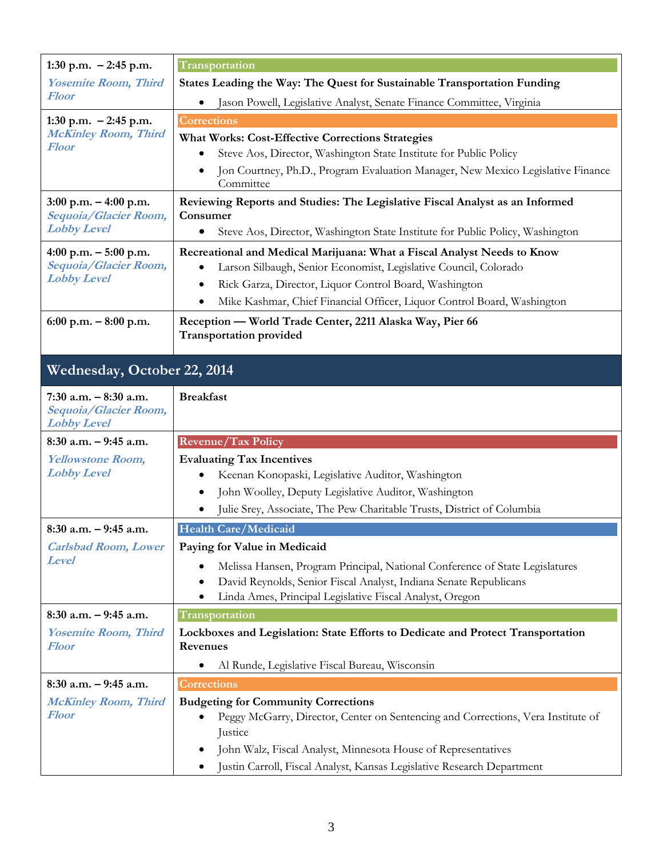| 1:30 p.m. $-2:45$ p.m.                            | Transportation                                                                                                                              |  |
|---------------------------------------------------|---------------------------------------------------------------------------------------------------------------------------------------------|--|
| <b>Yosemite Room, Third</b><br><b>Floor</b>       | States Leading the Way: The Quest for Sustainable Transportation Funding                                                                    |  |
|                                                   | Jason Powell, Legislative Analyst, Senate Finance Committee, Virginia                                                                       |  |
| 1:30 p.m. $-2:45$ p.m.                            | <b>Corrections</b>                                                                                                                          |  |
| <b>McKinley Room, Third</b><br><b>Floor</b>       | <b>What Works: Cost-Effective Corrections Strategies</b>                                                                                    |  |
|                                                   | Steve Aos, Director, Washington State Institute for Public Policy                                                                           |  |
|                                                   | Jon Courtney, Ph.D., Program Evaluation Manager, New Mexico Legislative Finance<br>$\bullet$<br>Committee                                   |  |
| $3:00$ p.m. $-4:00$ p.m.                          | Reviewing Reports and Studies: The Legislative Fiscal Analyst as an Informed                                                                |  |
| Sequoia/Glacier Room,<br><b>Lobby Level</b>       | Consumer<br>Steve Aos, Director, Washington State Institute for Public Policy, Washington<br>٠                                              |  |
|                                                   |                                                                                                                                             |  |
| 4:00 p.m. $-5:00$ p.m.<br>Sequoia/Glacier Room,   | Recreational and Medical Marijuana: What a Fiscal Analyst Needs to Know<br>Larson Silbaugh, Senior Economist, Legislative Council, Colorado |  |
| <b>Lobby Level</b>                                | Rick Garza, Director, Liquor Control Board, Washington<br>$\bullet$                                                                         |  |
|                                                   | Mike Kashmar, Chief Financial Officer, Liquor Control Board, Washington                                                                     |  |
| 6:00 p.m. $-8:00$ p.m.                            | Reception - World Trade Center, 2211 Alaska Way, Pier 66                                                                                    |  |
|                                                   | <b>Transportation provided</b>                                                                                                              |  |
| Wednesday, October 22, 2014                       |                                                                                                                                             |  |
|                                                   |                                                                                                                                             |  |
| $7:30$ a.m. $-8:30$ a.m.<br>Sequoia/Glacier Room, | <b>Breakfast</b>                                                                                                                            |  |
|                                                   |                                                                                                                                             |  |
| <b>Lobby Level</b>                                |                                                                                                                                             |  |
| $8:30$ a.m. $-9:45$ a.m.                          | <b>Revenue/Tax Policy</b>                                                                                                                   |  |
| <b>Yellowstone Room,</b>                          | <b>Evaluating Tax Incentives</b>                                                                                                            |  |
| <b>Lobby Level</b>                                | Keenan Konopaski, Legislative Auditor, Washington                                                                                           |  |
|                                                   | John Woolley, Deputy Legislative Auditor, Washington<br>$\bullet$                                                                           |  |
|                                                   | Julie Srey, Associate, The Pew Charitable Trusts, District of Columbia                                                                      |  |
| $8:30$ a.m. $-9:45$ a.m.                          | Health Care/Medicaid                                                                                                                        |  |
| <b>Carlsbad Room, Lower</b><br><b>Level</b>       | Paying for Value in Medicaid                                                                                                                |  |
|                                                   | Melissa Hansen, Program Principal, National Conference of State Legislatures                                                                |  |
|                                                   | David Reynolds, Senior Fiscal Analyst, Indiana Senate Republicans<br>$\bullet$<br>٠                                                         |  |
| $8:30$ a.m. $-9:45$ a.m.                          | Linda Ames, Principal Legislative Fiscal Analyst, Oregon<br>Transportation                                                                  |  |
| <b>Yosemite Room, Third</b>                       | Lockboxes and Legislation: State Efforts to Dedicate and Protect Transportation                                                             |  |
| Floor                                             | <b>Revenues</b>                                                                                                                             |  |
|                                                   | Al Runde, Legislative Fiscal Bureau, Wisconsin                                                                                              |  |
| $8:30$ a.m. $-9:45$ a.m.                          | <b>Corrections</b>                                                                                                                          |  |
| <b>McKinley Room, Third</b>                       | <b>Budgeting for Community Corrections</b>                                                                                                  |  |
| Floor                                             | Peggy McGarry, Director, Center on Sentencing and Corrections, Vera Institute of                                                            |  |
|                                                   | Justice<br>John Walz, Fiscal Analyst, Minnesota House of Representatives<br>$\bullet$                                                       |  |